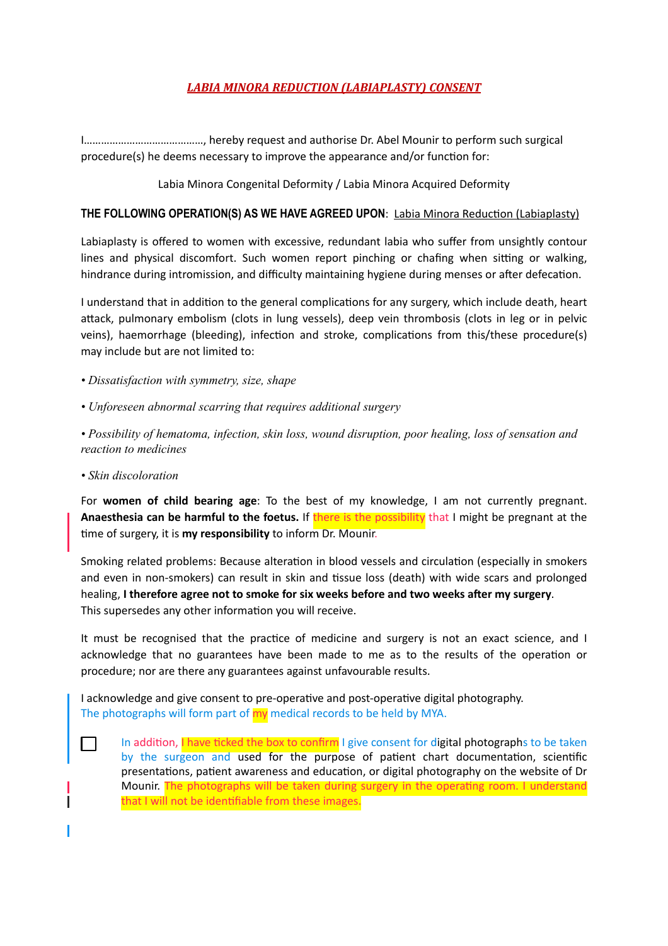# **LABIA MINORA REDUCTION (LABIAPLASTY) CONSENT**

I……………………………………, hereby request and authorise Dr. Abel Mounir to perform such surgical procedure(s) he deems necessary to improve the appearance and/or function for:

#### Labia Minora Congenital Deformity / Labia Minora Acquired Deformity

#### **THE FOLLOWING OPERATION(S) AS WE HAVE AGREED UPON: Labia Minora Reduction (Labiaplasty)**

Labiaplasty is offered to women with excessive, redundant labia who suffer from unsightly contour lines and physical discomfort. Such women report pinching or chafing when sitting or walking, hindrance during intromission, and difficulty maintaining hygiene during menses or after defecation.

I understand that in addition to the general complications for any surgery, which include death, heart attack, pulmonary embolism (clots in lung vessels), deep vein thrombosis (clots in leg or in pelvic veins), haemorrhage (bleeding), infection and stroke, complications from this/these procedure(s) may include but are not limited to:

- *Dissatisfaction with symmetry, size, shape*
- *Unforeseen abnormal scarring that requires additional surgery*

*• Possibility of hematoma, infection, skin loss, wound disruption, poor healing, loss of sensation and reaction to medicines* 

*• Skin discoloration* 

For **women of child bearing age**: To the best of my knowledge, I am not currently pregnant. **Anaesthesia can be harmful to the foetus.** If there is the possibility that I might be pregnant at the time of surgery, it is **my responsibility** to inform Dr. Mounir.

Smoking related problems: Because alteration in blood vessels and circulation (especially in smokers and even in non-smokers) can result in skin and tissue loss (death) with wide scars and prolonged healing, I therefore agree not to smoke for six weeks before and two weeks after my surgery. This supersedes any other information you will receive.

It must be recognised that the practice of medicine and surgery is not an exact science, and I acknowledge that no guarantees have been made to me as to the results of the operation or procedure; nor are there any guarantees against unfavourable results.

I acknowledge and give consent to pre-operative and post-operative digital photography. The photographs will form part of my medical records to be held by MYA.

In addition, I have ticked the box to confirm I give consent for digital photographs to be taken by the surgeon and used for the purpose of patient chart documentation, scientific presentations, patient awareness and education, or digital photography on the website of Dr Mounir. The photographs will be taken during surgery in the operating room. I understand that I will not be identifiable from these images.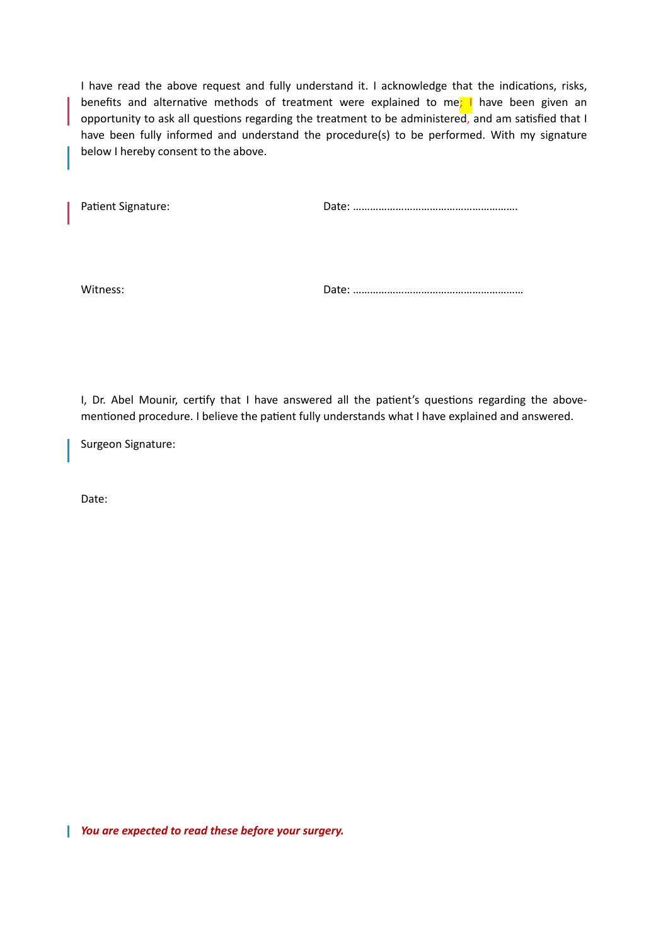I have read the above request and fully understand it. I acknowledge that the indications, risks, benefits and alternative methods of treatment were explained to me; I have been given an opportunity to ask all questions regarding the treatment to be administered, and am satisfied that I have been fully informed and understand the procedure(s) to be performed. With my signature below I hereby consent to the above.

Patient Signature: The Contract of Contract Date: ………………………………………………………………………………

Witness: Date: ……………………………………………………

I, Dr. Abel Mounir, certify that I have answered all the patient's questions regarding the abovementioned procedure. I believe the patient fully understands what I have explained and answered.

Surgeon Signature:

Date:

*You are expected to read these before your surgery.*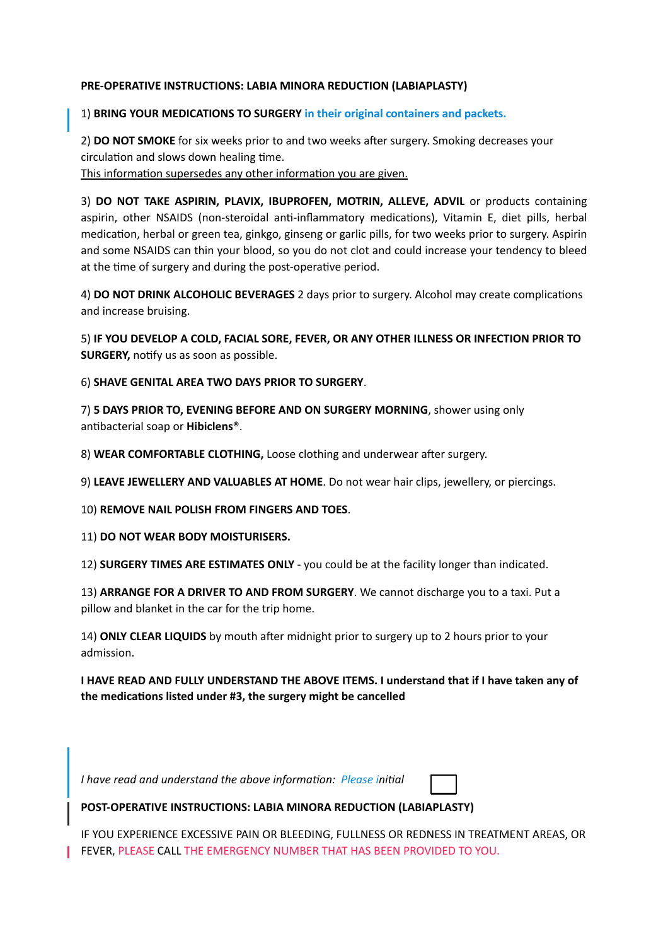#### **PRE-OPERATIVE INSTRUCTIONS: LABIA MINORA REDUCTION (LABIAPLASTY)**

#### 1) **BRING YOUR MEDICATIONS TO SURGERY in their original containers and packets.**

2) **DO NOT SMOKE** for six weeks prior to and two weeks after surgery. Smoking decreases your circulation and slows down healing time.

This information supersedes any other information you are given.

3) **DO NOT TAKE ASPIRIN, PLAVIX, IBUPROFEN, MOTRIN, ALLEVE, ADVIL** or products containing aspirin, other NSAIDS (non-steroidal anti-inflammatory medications), Vitamin E, diet pills, herbal medication, herbal or green tea, ginkgo, ginseng or garlic pills, for two weeks prior to surgery. Aspirin and some NSAIDS can thin your blood, so you do not clot and could increase your tendency to bleed at the time of surgery and during the post-operative period.

4) **DO NOT DRINK ALCOHOLIC BEVERAGES** 2 days prior to surgery. Alcohol may create complications and increase bruising.

5) **IF YOU DEVELOP A COLD, FACIAL SORE, FEVER, OR ANY OTHER ILLNESS OR INFECTION PRIOR TO SURGERY, notify us as soon as possible.** 

6) **SHAVE GENITAL AREA TWO DAYS PRIOR TO SURGERY**.

7) **5 DAYS PRIOR TO, EVENING BEFORE AND ON SURGERY MORNING**, shower using only antibacterial soap or **Hibiclens**®.

8) WEAR COMFORTABLE CLOTHING, Loose clothing and underwear after surgery.

9) **LEAVE JEWELLERY AND VALUABLES AT HOME**. Do not wear hair clips, jewellery, or piercings.

10) **REMOVE NAIL POLISH FROM FINGERS AND TOES**.

11) **DO NOT WEAR BODY MOISTURISERS.** 

12) **SURGERY TIMES ARE ESTIMATES ONLY** - you could be at the facility longer than indicated.

13) **ARRANGE FOR A DRIVER TO AND FROM SURGERY**. We cannot discharge you to a taxi. Put a pillow and blanket in the car for the trip home.

14) **ONLY CLEAR LIQUIDS** by mouth after midnight prior to surgery up to 2 hours prior to your admission.

**I HAVE READ AND FULLY UNDERSTAND THE ABOVE ITEMS. I understand that if I have taken any of**  the medications listed under #3, the surgery might be cancelled

*I have read and understand the above information: Please initial* 

### **POST-OPERATIVE INSTRUCTIONS: LABIA MINORA REDUCTION (LABIAPLASTY)**

IF YOU EXPERIENCE EXCESSIVE PAIN OR BLEEDING, FULLNESS OR REDNESS IN TREATMENT AREAS, OR FEVER, PLEASE CALL THE EMERGENCY NUMBER THAT HAS BEEN PROVIDED TO YOU.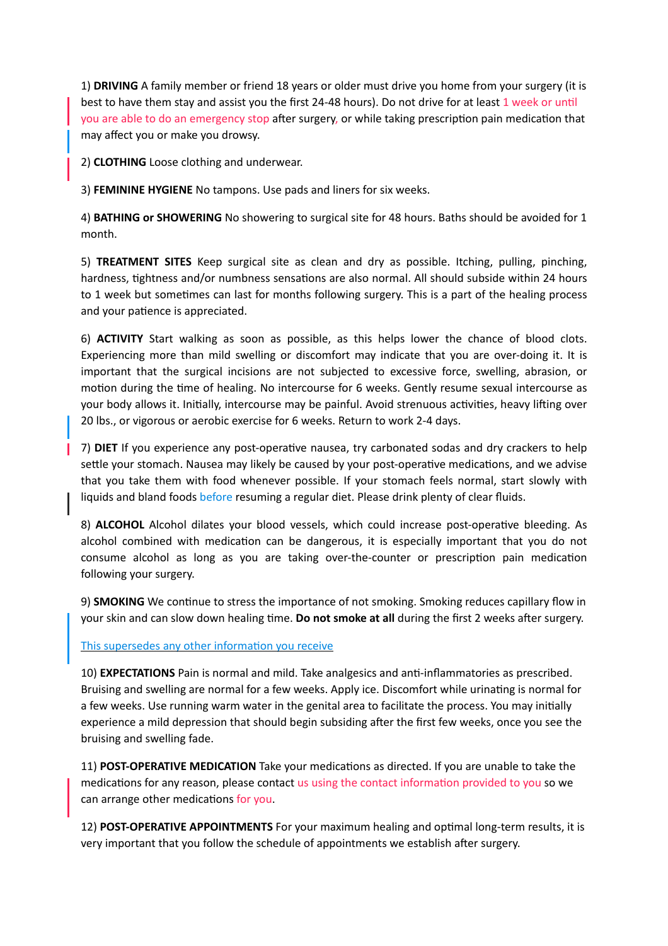1) **DRIVING** A family member or friend 18 years or older must drive you home from your surgery (it is best to have them stay and assist you the first 24-48 hours). Do not drive for at least 1 week or until you are able to do an emergency stop after surgery, or while taking prescription pain medication that may affect you or make you drowsy.

2) **CLOTHING** Loose clothing and underwear.

3) **FEMININE HYGIENE** No tampons. Use pads and liners for six weeks.

4) **BATHING or SHOWERING** No showering to surgical site for 48 hours. Baths should be avoided for 1 month.

5) **TREATMENT SITES** Keep surgical site as clean and dry as possible. Itching, pulling, pinching, hardness, tightness and/or numbness sensations are also normal. All should subside within 24 hours to 1 week but sometimes can last for months following surgery. This is a part of the healing process and your patience is appreciated.

6) **ACTIVITY** Start walking as soon as possible, as this helps lower the chance of blood clots. Experiencing more than mild swelling or discomfort may indicate that you are over-doing it. It is important that the surgical incisions are not subjected to excessive force, swelling, abrasion, or motion during the time of healing. No intercourse for 6 weeks. Gently resume sexual intercourse as your body allows it. Initially, intercourse may be painful. Avoid strenuous activities, heavy lifting over 20 lbs., or vigorous or aerobic exercise for 6 weeks. Return to work 2-4 days.

7) **DIET** If you experience any post-operative nausea, try carbonated sodas and dry crackers to help settle your stomach. Nausea may likely be caused by your post-operative medications, and we advise that you take them with food whenever possible. If your stomach feels normal, start slowly with liquids and bland foods before resuming a regular diet. Please drink plenty of clear fluids.

8) **ALCOHOL** Alcohol dilates your blood vessels, which could increase post-operative bleeding. As alcohol combined with medication can be dangerous, it is especially important that you do not consume alcohol as long as you are taking over-the-counter or prescription pain medication following your surgery.

9) **SMOKING** We continue to stress the importance of not smoking. Smoking reduces capillary flow in your skin and can slow down healing time. **Do not smoke at all** during the first 2 weeks after surgery.

#### This supersedes any other information you receive

10) **EXPECTATIONS** Pain is normal and mild. Take analgesics and anti-inflammatories as prescribed. Bruising and swelling are normal for a few weeks. Apply ice. Discomfort while urinating is normal for a few weeks. Use running warm water in the genital area to facilitate the process. You may initially experience a mild depression that should begin subsiding after the first few weeks, once you see the bruising and swelling fade.

11) **POST-OPERATIVE MEDICATION** Take your medications as directed. If you are unable to take the medications for any reason, please contact us using the contact information provided to you so we can arrange other medications for you.

12) **POST-OPERATIVE APPOINTMENTS** For your maximum healing and optimal long-term results, it is very important that you follow the schedule of appointments we establish after surgery.